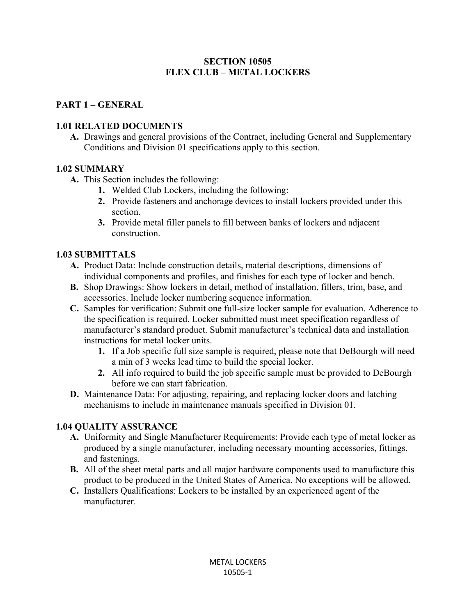### **SECTION 10505 FLEX CLUB – METAL LOCKERS**

# **PART 1 – GENERAL**

## **1.01 RELATED DOCUMENTS**

**A.** Drawings and general provisions of the Contract, including General and Supplementary Conditions and Division 01 specifications apply to this section.

## **1.02 SUMMARY**

- **A.** This Section includes the following:
	- **1.** Welded Club Lockers, including the following:
	- **2.** Provide fasteners and anchorage devices to install lockers provided under this section.
	- **3.** Provide metal filler panels to fill between banks of lockers and adjacent construction.

## **1.03 SUBMITTALS**

- **A.** Product Data: Include construction details, material descriptions, dimensions of individual components and profiles, and finishes for each type of locker and bench.
- **B.** Shop Drawings: Show lockers in detail, method of installation, fillers, trim, base, and accessories. Include locker numbering sequence information.
- **C.** Samples for verification: Submit one full-size locker sample for evaluation. Adherence to the specification is required. Locker submitted must meet specification regardless of manufacturer's standard product. Submit manufacturer's technical data and installation instructions for metal locker units.
	- **1.** If a Job specific full size sample is required, please note that DeBourgh will need a min of 3 weeks lead time to build the special locker.
	- **2.** All info required to build the job specific sample must be provided to DeBourgh before we can start fabrication.
- **D.** Maintenance Data: For adjusting, repairing, and replacing locker doors and latching mechanisms to include in maintenance manuals specified in Division 01.

# **1.04 QUALITY ASSURANCE**

- **A.** Uniformity and Single Manufacturer Requirements: Provide each type of metal locker as produced by a single manufacturer, including necessary mounting accessories, fittings, and fastenings.
- **B.** All of the sheet metal parts and all major hardware components used to manufacture this product to be produced in the United States of America. No exceptions will be allowed.
- **C.** Installers Qualifications: Lockers to be installed by an experienced agent of the manufacturer.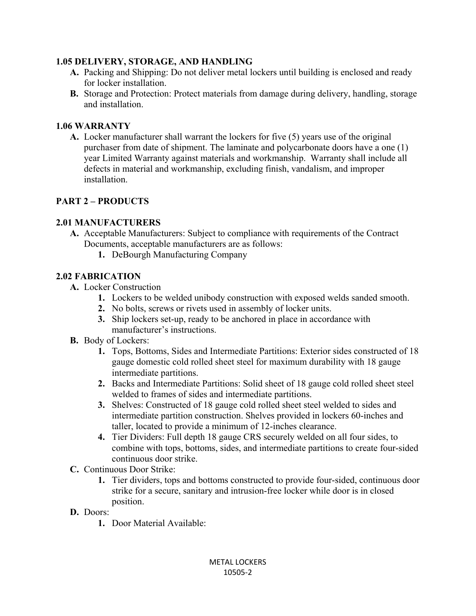### **1.05 DELIVERY, STORAGE, AND HANDLING**

- **A.** Packing and Shipping: Do not deliver metal lockers until building is enclosed and ready for locker installation.
- **B.** Storage and Protection: Protect materials from damage during delivery, handling, storage and installation.

#### **1.06 WARRANTY**

**A.** Locker manufacturer shall warrant the lockers for five (5) years use of the original purchaser from date of shipment. The laminate and polycarbonate doors have a one (1) year Limited Warranty against materials and workmanship. Warranty shall include all defects in material and workmanship, excluding finish, vandalism, and improper installation.

### **PART 2 – PRODUCTS**

#### **2.01 MANUFACTURERS**

- **A.** Acceptable Manufacturers: Subject to compliance with requirements of the Contract Documents, acceptable manufacturers are as follows:
	- **1.** DeBourgh Manufacturing Company

#### **2.02 FABRICATION**

- **A.** Locker Construction
	- **1.** Lockers to be welded unibody construction with exposed welds sanded smooth.
	- **2.** No bolts, screws or rivets used in assembly of locker units.
	- **3.** Ship lockers set-up, ready to be anchored in place in accordance with manufacturer's instructions.
- **B.** Body of Lockers:
	- **1.** Tops, Bottoms, Sides and Intermediate Partitions: Exterior sides constructed of 18 gauge domestic cold rolled sheet steel for maximum durability with 18 gauge intermediate partitions.
	- **2.** Backs and Intermediate Partitions: Solid sheet of 18 gauge cold rolled sheet steel welded to frames of sides and intermediate partitions.
	- **3.** Shelves: Constructed of 18 gauge cold rolled sheet steel welded to sides and intermediate partition construction. Shelves provided in lockers 60-inches and taller, located to provide a minimum of 12-inches clearance.
	- **4.** Tier Dividers: Full depth 18 gauge CRS securely welded on all four sides, to combine with tops, bottoms, sides, and intermediate partitions to create four-sided continuous door strike.
- **C.** Continuous Door Strike:
	- **1.** Tier dividers, tops and bottoms constructed to provide four-sided, continuous door strike for a secure, sanitary and intrusion-free locker while door is in closed position.
- **D.** Doors:
	- **1.** Door Material Available: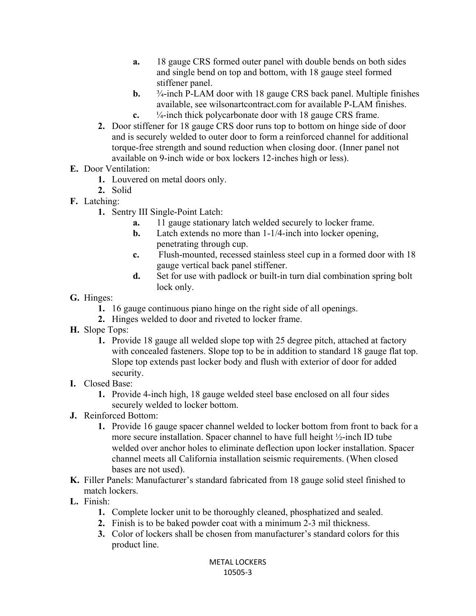- **a.** 18 gauge CRS formed outer panel with double bends on both sides and single bend on top and bottom, with 18 gauge steel formed stiffener panel.
- **b.**  $\frac{3}{4}$ -inch P-LAM door with 18 gauge CRS back panel. Multiple finishes available, see wilsonartcontract.com for available P-LAM finishes. **c.** ¼-inch thick polycarbonate door with 18 gauge CRS frame.
- **2.** Door stiffener for 18 gauge CRS door runs top to bottom on hinge side of door and is securely welded to outer door to form a reinforced channel for additional torque-free strength and sound reduction when closing door. (Inner panel not available on 9-inch wide or box lockers 12-inches high or less).
- **E.** Door Ventilation:
	- **1.** Louvered on metal doors only.
	- **2.** Solid
- **F.** Latching:
	- **1.** Sentry III Single-Point Latch:
		- **a.** 11 gauge stationary latch welded securely to locker frame.
		- **b.** Latch extends no more than 1-1/4-inch into locker opening, penetrating through cup.
		- **c.** Flush-mounted, recessed stainless steel cup in a formed door with 18 gauge vertical back panel stiffener.
		- **d.** Set for use with padlock or built-in turn dial combination spring bolt lock only.
- **G.** Hinges:
	- **1.** 16 gauge continuous piano hinge on the right side of all openings.
	- **2.** Hinges welded to door and riveted to locker frame.
- **H.** Slope Tops:
	- **1.** Provide 18 gauge all welded slope top with 25 degree pitch, attached at factory with concealed fasteners. Slope top to be in addition to standard 18 gauge flat top. Slope top extends past locker body and flush with exterior of door for added security.
- **I.** Closed Base:
	- **1.** Provide 4-inch high, 18 gauge welded steel base enclosed on all four sides securely welded to locker bottom.
- **J.** Reinforced Bottom:
	- **1.** Provide 16 gauge spacer channel welded to locker bottom from front to back for a more secure installation. Spacer channel to have full height ½-inch ID tube welded over anchor holes to eliminate deflection upon locker installation. Spacer channel meets all California installation seismic requirements. (When closed bases are not used).
- **K.** Filler Panels: Manufacturer's standard fabricated from 18 gauge solid steel finished to match lockers.
- **L.** Finish:
	- **1.** Complete locker unit to be thoroughly cleaned, phosphatized and sealed.
	- **2.** Finish is to be baked powder coat with a minimum 2-3 mil thickness.
	- **3.** Color of lockers shall be chosen from manufacturer's standard colors for this product line.